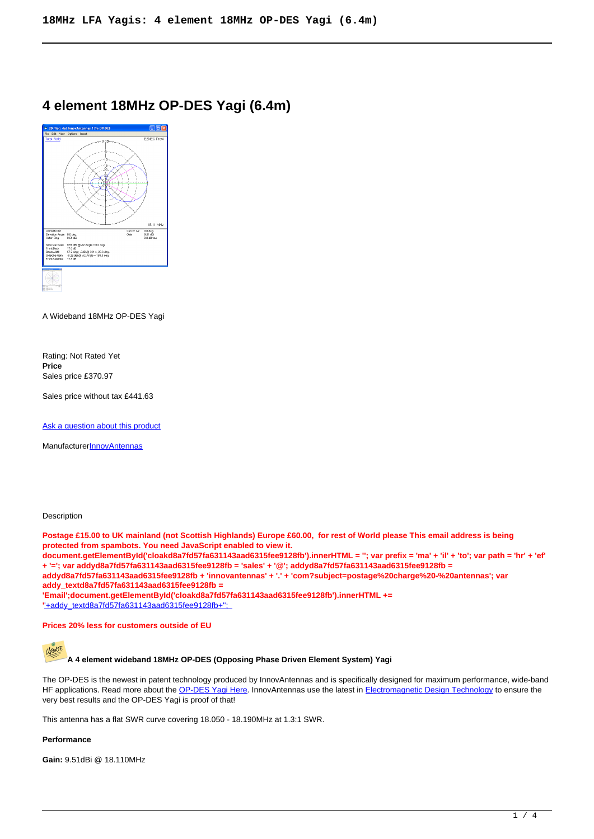# **4 element 18MHz OP-DES Yagi (6.4m)**



A Wideband 18MHz OP-DES Yagi

Rating: Not Rated Yet **Price**  Sales price £370.97

Sales price without tax £441.63

[Ask a question about this product](https://innovantennas.com/index.php?option=com_virtuemart&view=productdetails&task=askquestion&virtuemart_product_id=70&virtuemart_category_id=6&tmpl=component)

Manufacturer**[InnovAntennas](https://innovantennas.com/index.php?option=com_virtuemart&view=manufacturer&virtuemart_manufacturer_id=1&tmpl=component)** 

#### **Description**

**Postage £15.00 to UK mainland (not Scottish Highlands) Europe £60.00, for rest of World please This email address is being protected from spambots. You need JavaScript enabled to view it. document.getElementById('cloakd8a7fd57fa631143aad6315fee9128fb').innerHTML = ''; var prefix = 'ma' + 'il' + 'to'; var path = 'hr' + 'ef' + '='; var addyd8a7fd57fa631143aad6315fee9128fb = 'sales' + '@'; addyd8a7fd57fa631143aad6315fee9128fb = addyd8a7fd57fa631143aad6315fee9128fb + 'innovantennas' + '.' + 'com?subject=postage%20charge%20-%20antennas'; var addy\_textd8a7fd57fa631143aad6315fee9128fb = 'Email';document.getElementById('cloakd8a7fd57fa631143aad6315fee9128fb').innerHTML += '**'+addy\_textd8a7fd57fa631143aad6315fee9128fb+'';

#### **Prices 20% less for customers outside of EU**



The OP-DES is the newest in patent technology produced by InnovAntennas and is specifically designed for maximum performance, wide-band HF applications. Read more about the [OP-DES Yagi Here.](owa-r-benefits.html) InnovAntennas use the latest in [Electromagnetic Design Technology](module-guide.html) to ensure the very best results and the OP-DES Yagi is proof of that!

This antenna has a flat SWR curve covering 18.050 - 18.190MHz at 1.3:1 SWR.

#### **Performance**

**Gain:** 9.51dBi @ 18.110MHz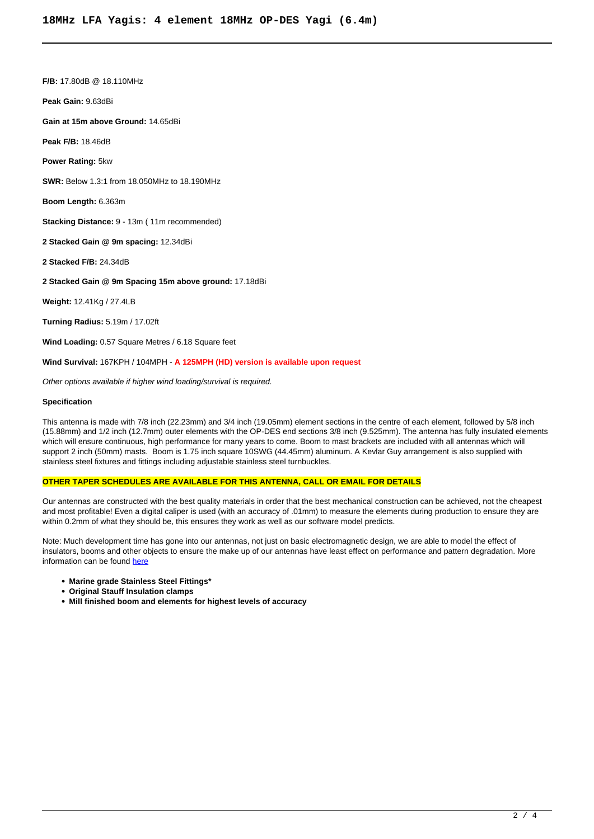**F/B:** 17.80dB @ 18.110MHz

**Peak Gain:** 9.63dBi

**Gain at 15m above Ground:** 14.65dBi

**Peak F/B:** 18.46dB

**Power Rating:** 5kw

**SWR:** Below 1.3:1 from 18.050MHz to 18.190MHz

**Boom Length:** 6.363m

**Stacking Distance:** 9 - 13m ( 11m recommended)

**2 Stacked Gain @ 9m spacing:** 12.34dBi

**2 Stacked F/B:** 24.34dB

**2 Stacked Gain @ 9m Spacing 15m above ground:** 17.18dBi

**Weight:** 12.41Kg / 27.4LB

**Turning Radius:** 5.19m / 17.02ft

**Wind Loading: 0.57 Square Metres / 6.18 Square feet** 

#### **Wind Survival:** 167KPH / 104MPH - **A 125MPH (HD) version is available upon request**

Other options available if higher wind loading/survival is required.

#### **Specification**

This antenna is made with 7/8 inch (22.23mm) and 3/4 inch (19.05mm) element sections in the centre of each element, followed by 5/8 inch (15.88mm) and 1/2 inch (12.7mm) outer elements with the OP-DES end sections 3/8 inch (9.525mm). The antenna has fully insulated elements which will ensure continuous, high performance for many years to come. Boom to mast brackets are included with all antennas which will support 2 inch (50mm) masts. Boom is 1.75 inch square 10SWG (44.45mm) aluminum. A Kevlar Guy arrangement is also supplied with stainless steel fixtures and fittings including adjustable stainless steel turnbuckles.

#### **OTHER TAPER SCHEDULES ARE AVAILABLE FOR THIS ANTENNA, CALL OR EMAIL FOR DETAILS**

Our antennas are constructed with the best quality materials in order that the best mechanical construction can be achieved, not the cheapest and most profitable! Even a digital caliper is used (with an accuracy of .01mm) to measure the elements during production to ensure they are within 0.2mm of what they should be, this ensures they work as well as our software model predicts.

Note: Much development time has gone into our antennas, not just on basic electromagnetic design, we are able to model the effect of insulators, booms and other objects to ensure the make up of our antennas have least effect on performance and pattern degradation. More information can be found [here](module-guide.html)

- **Marine grade Stainless Steel Fittings\***
- **Original Stauff Insulation clamps**
- **Mill finished boom and elements for highest levels of accuracy**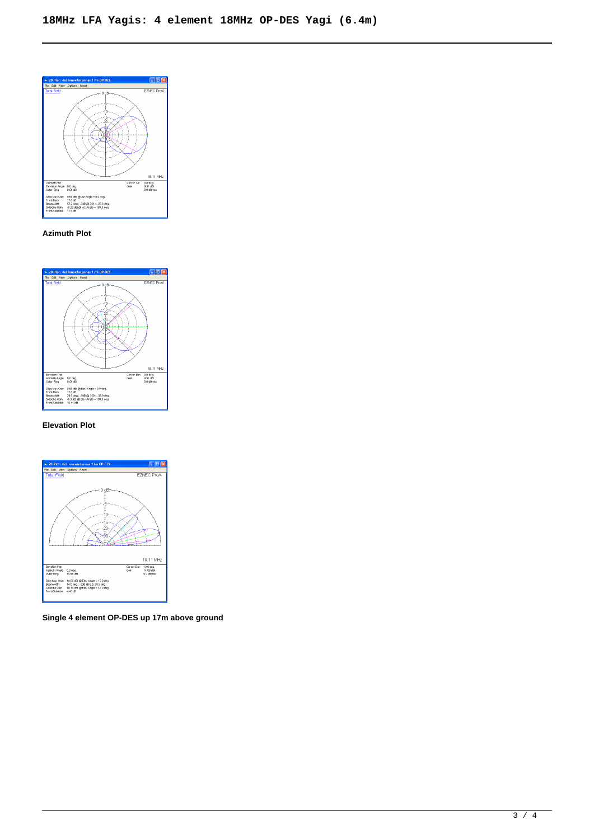

# **Azimuth Plot**



### **Elevation Plot**



**Single 4 element OP-DES up 17m above ground**